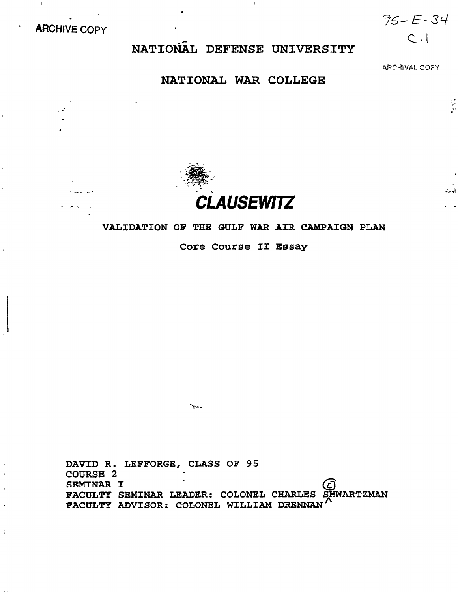. **ARCHIVE COPY** 

 $95 - E - 34$ 

 $C_{1}$ 

# NATIONAL DEFENSE UNIVERSITY

.

ARCHIVAL COPY

 $\mathcal{M}^{\mathcal{S}}$ 

### NATIONAL WAR COLLEGE



### VALIDATION OF THE GULF WAR AIR CAMPAIGN PLAN

Core Course II Essay

DAVID R. LEFFORGE, CLASS OF 95 COWRSE 2 SEMINAR I SEMINAR I<br>FACULTY SEMINAR LEADER: COLONEL CHARLES SHWARTZMAN FACULTY ADVISOR: COLONEL WILLIAM DRENNAN

 $\frac{1}{2}$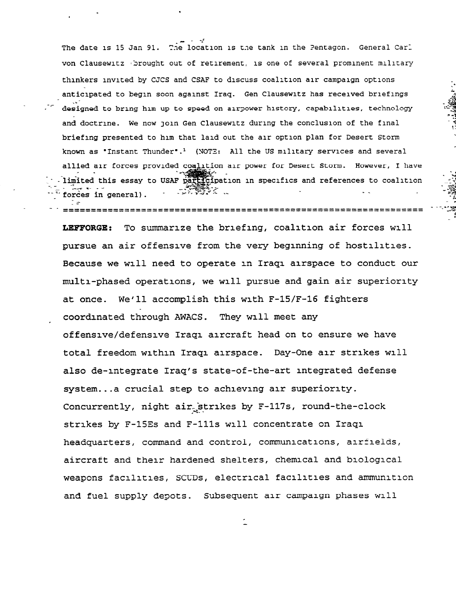The date is 15 Jan 91. The location is the tank in the Pentagon. General Carl von Clausewitz Sprought out of retirement, is one of several prominent military thinkers invited by CJCS and CSAF to discuss coalition air campaign options anticipated to begin soon against Iraq. Gen Clausewitz has received briefings designed to bring him up to speed on airpower history, capabilities, technology and doctrine. We now join Gen Clausewitz during the conclusion of the final briefing presented to him that laid out the air option plan for Desert Storm known as 'Instant Thunder'.<sup>1</sup> (NOTE: All the US military services and several allied air forces provided coalition air power for Desert Storm. However, I have  $\frac{1}{2}$  -  $\frac{1}{2}$  $\cdots$  limited this essay to USAF participation in specifics and references to coalition  $\cdots$ A PARTIES AND AN  $\ddot{\phantom{a}}$ ---z fo;ge; & general) - - -<br>-

- 1 --------------\_\_------------------------------------------------- \_--\_-\_--\_-\_------------------------------------------------------ SW,

3 " 2 '-2~

P-i;

r:

. < - -2s

 $-3$   $\frac{3}{2}$ 

f

 $- -$ 

.

 $\cdot$  r

LEFFORGE: To summarize the briefing, coalition air forces will pursue an air offensive from the very beglnning of hostilities. Because we will need to operate in Iraqi airspace to conduct our multi-phased operations, we will pursue and gain air superiority at once. We'll accomplish this with F-15/F-16 fighters coordinated through AWACS. They will meet any offensive/defensive Iraqi aircraft head on to ensure we have total freedom within Iraqi airspace. Day-One air strikes will also de-integrate Iraq's state-of-the-art integrated defense system.. .a crucial step to achieving air superiority. Concurrently, night air strikes by  $F-117s$ , round-the-clock strikes by F-15Es and F-111s will concentrate on Iraqi headquarters, command and control, communications, airfields, aircraft and their hardened shelters, chemical and biological weapons facilities, SCCDs, electrical facilities and ammunition and fuel supply depots. Subsequent air campaign phases will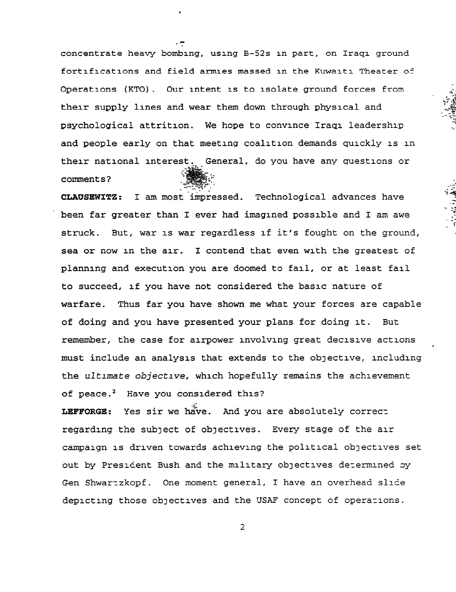concentrate heavy bombing, using B-52s in part, on Iraqi ground fortifications and field armies massed in the Kuwaiti Theater 05 Operations (KTO) . Our intent is to isolate ground forces from their supply lines and wear them down through physical and psychological attrition. We hope to convince Iraqi leadership and people early on that meeting coalition demands quickly is in their national interest. General, do you have any questions or  $\blacksquare$ comments?

-<

.

--

CLAUSEWITZ : I am most-impressed. Technological advances have been far greater than I ever had imagined possible and I am awe struck. But, war is war regardless if it's fought on the ground, sea or now in the air. I contend that even with the greatest of planning and execution you are doomed to fail, or at least fail to succeed, if you have not considered the basic nature of warfare. Thus far you have shown me what your forces are capable of doing and you have presented your plans for doing it. But remember, the case for airpower involving great decisive actions must include an analysis that extends to the ObJective, including the ultimate objective, which hopefully remains the achievement of peace.<sup>2</sup> Have you considered this?

LEFFORGE: Yes sir we have. And you are absolutely correct regarding the SubJect of obJectives. Every stage of the air campaign is driven towards achieving the political obJectives set out by President Bush and the military objectives determined by Gen Shwartzkopf. One moment general, I have an overhead slide depicting those objectives and the USAF concept of operations.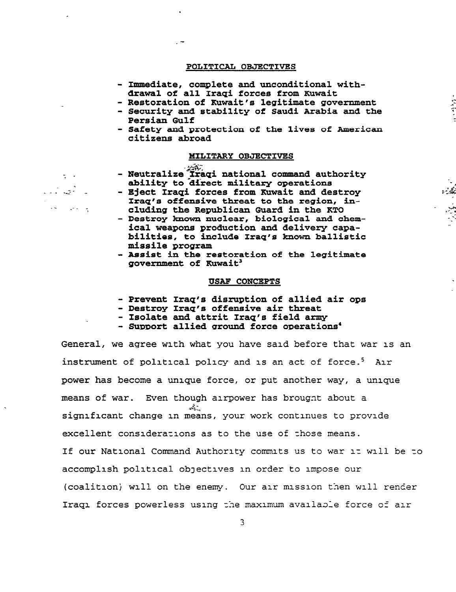#### POLITICAL OBJECTIVES

.

---

-.. \_-- -?

 $\sim$   $\sim$ 

أناجى

- Immediate, complete and unconditional withdrawal of all Iraqi forces from Kuwait
- Restoration of Kuwait's legitimate government
- Security and stability of Saudi Arabia and the Persian Gulf

وردود

- Safety and protection of the lives of American citizens abroad

#### MILITARY OBJECTIVES

## - Neutralize Iraqi national command authority ability to direct military operations

- Eject Iraqi forces from Kuwait and destroy Iraq's offensive threat to the region, including the Republican Guard in the KTO
- Destroy known nuclear, biological and chemical weapons production and delivery capabilities, to include Iraq's known ballistic missile program
- Assist in the restoration of the legitimate government of Kuwait<sup>3</sup>

#### USAF CONCEPTS

- Prevent Iraq's disruption of allied air ops
- Destroy Iraq's offensive air threat
- Isolate and attrit Iraq's field army
- Support allied ground force operations<sup>4</sup>

General, we agree with what you have said before that war 1s an instrument of political policy and 1s an act of force.' Air power has become a unique force, or put another way, a unique means of war. Even though alrpower has brougnt about a  $\mathbf{A}$ significant change in means, your work continues to provide excellent conslderazlons as to the use of zhose means. If our National Command Authority commits us to war 1s will be zo accomplish political ObJectives in order to impose our (coalition) will on the enemy. Our air mission then will render Iraqi forces powerless using the maximum available force of air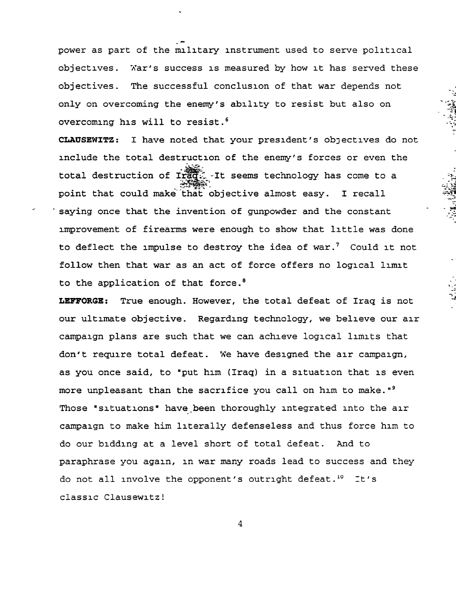power as part of the military instrument used to serve political objectives. War's success is measured by how it has served these objectives. The successful conclusion of that war depends not only on overcoming the enemy's ability to resist but also on overcoming his will to resist.<sup>6</sup>

.

i

CLAUSEWITZ: I have noted that your president's objectives do not include the total destruction of the enemy's forces or even the total destruction of  $\widetilde{\text{trigg}}$ . It seems technology has come to a point that could make that objective almost easy. I recall  $\mathbb{Z}$ saying once that the invention of gunpowder and the constant improvement of firearms were enough to show that little was done to deflect the impulse to destroy the idea of war.<sup>7</sup> Could it not follow then that war as an act of force offers no logical limit to the application of that force.<sup>8</sup>

 $\cdot$  -

r

 $\ddot{\phantom{0}}$ 

.<br>وفي

LEFFORGE: True enough. However, the total defeat of Iraq is not our ultimate objective. Regarding technology, we believe our air campaign plans are such that we can achieve logical limits that don't require total defeat. We have designed the air campaign, as you once said, to "put him (Iraq) in a situation that is even more unpleasant than the sacrifice you call on him to make."<sup>9</sup> Those "situations" have been thoroughly integrated into the air campaign to make him literally defenseless and thus force him to do our bidding at a level short of total defeat. And to paraphrase you again, in war many roads lead to success and they do not all involve the opponent's outright defeat.<sup>10</sup> It's classic Clausewitz!

 $\overline{4}$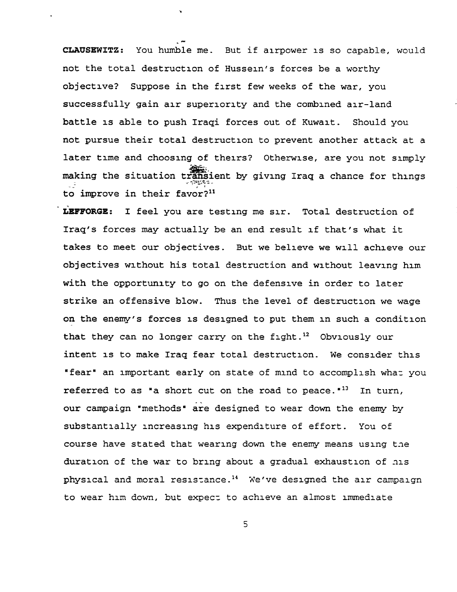CLAUSEWITZ: You humble me. But if airpower is so capable, would not the total destruction of Hussein's forces be a worthy objective? Suppose in the first few weeks of the war, you successfully gain air superiority and the combined air-land battle is able to push Iraqi forces out of Kuwait. Should you not pursue their total destruction to prevent another attack at a later time and choosing of theirs? Otherwise, are you not simply  $\frac{1}{2}$ making the situation transient by giving Iraq a chance for thing<br>  $z^2$  ; to improve in their favor?<sup>11</sup>

.

LEFFORGE: I feel you are testing me sir. Total destruction of Iraq's forces may actually be an end result If that's what it takes to meet our objectives. But we believe we will achieve our objectives without his total destruction and without leaving him with the opportunity to go on the defensive in order to later strike an offensive blow. Thus the level of destruction we wage on the enemy's forces 1s designed to put them in such a condition that they can no longer carry on the fight.<sup>12</sup> Obviously our intent 1s to make Iraq fear total destruction. We consider this "fear" an important early on state of mind to accomplish what you referred to as "a short cut on the road to peace." $^{13}$  In turn, our campaign 'methods" are designed to wear down the enemy by substantially increasing his expenditure of effort. You of course have stated that wearing down the enemy means using the duration of the war to bring about a gradual exhaustion of his physical and moral reslszance.14 We've designed the air campaign to wear him down, but expect to achieve an almost immediate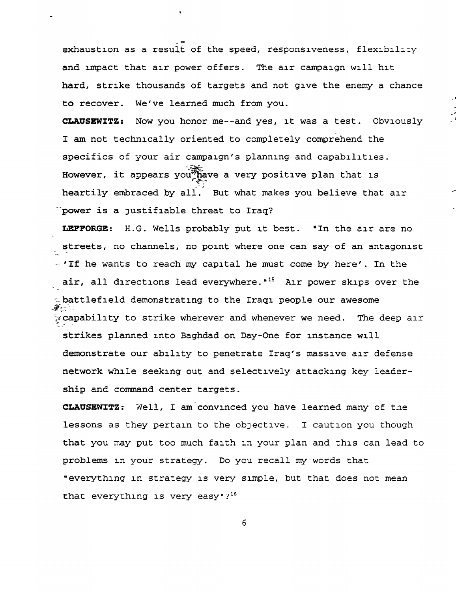exhaustion as a result of the speed, responsiveness, flexibility and impact that air power offers. The air campaign will hit hard, strike thousands of targets and not give the enemy a chance to recover. We've learned much from you.

.'

CLAUSEWITZ: Now you honor me--and yes, it was a test. Obviously :' I am not technically oriented to completely comprehend the specifics of your air campaign's planning and capabilities. However, it appears you; have a very positive plan that is heartily embraced by all. But what makes you believe that all .<br>Tpower is a justifiable threat to Iraq<sup>.</sup>  $\frac{n}{2}$ 

LEFFORGE: H.G. Wells probably put it best. "In the air are no streets, no channels, no point where one can say of an antagoning the state of an antagoning  $\mathbf{r}$  $\sim$  'If he wants to reach my capital he must come by here'. In the air, all directions lead everywhere.<sup>\*15</sup> Air power skips over the  $\sim$  battlefield demonstrating to the Iraqi people our awesome  $\sim$  capability to strike wherever and whenever we need. The deep air  $\sim$ strikes planned into Baghdad on Day-One for instance will demonstrate our ability to penetrate Iraq's massive air defense network while seeking out and selectively attacking key leadership and command center targets.

CLAUSEWITZ: Well, I am convinced you have learned many of the lessons as they pertain to the objective. I caution you though that you may put too much faith in your plan and this can lead to problems In your strategy. Do you recall my words that "everything in strategy 1s very simple, but that does not mean that everything is very easy"? $16$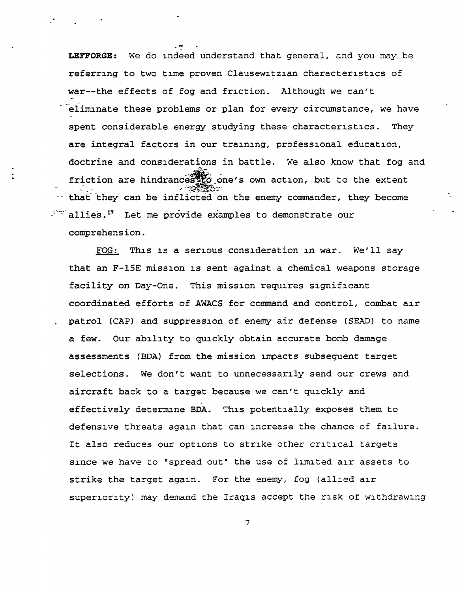LEFFORGE: We do indeed understand that general, and you may be referring to two time proven Clausewltzlan characteristics of war--the effects of fog and friction. Although we can't eliminate these problems or plan for every circumstance, we have spent considerable energy studying these characteristics. They are integral factors in our training, professional education, doctrine and considerations in battle. We also know that fog and friction are hindrances to one's own action, but to the extent  $\mathbb{Z}_{\geq 0}$ -- that they can be inflicted on the enemy commander, they become  $\mathbb{R}^m$  allies.<sup>17</sup> Let me provide examples to demonstrate our comprehension.

 $\mathcal{L}$  -  $\mathcal{L}$ 

FOG: This 1s a serious consideration in war. We'll say that an F-15E mission 1s sent against a chemical weapons storage facility on Day-One. This mission requires significant coordinated efforts of AWACS for command and control, combat air . patrol (CAP) and suppression of enemy air defense (SEAD) to name a few. Our ability to quickly obtain accurate bomb damage assessments (BDA) from the mission impacts subsequent target selections. We don't want to unnecessarily send our crews and aircraft back to a target because we can't quickly and effectively determine BDA. This potentially exposes them to defensive threats again that can increase the chance of failure. It also reduces our options to strike other critical targets since we have to "spread out" the use of limited air assets to strike the target again. For the enemy, fog (allied air superiority) may demand the Iraqis accept the risk of withdrawing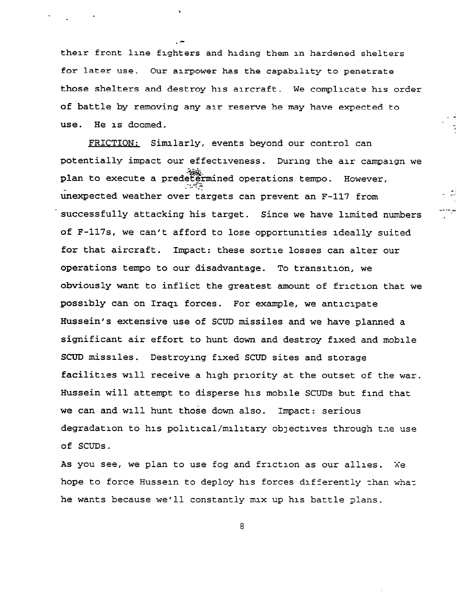their front line fighters and hiding them in hardened shelters for later use. Our airpower has the capability to penetrate those shelters and destroy his aircraft. We complicate his order of battle by removing any air reserve he may have expected to use. He is doomed.

- .

FRICTION: Simlarly, events beyond our control can potentially impact our effectiveness. During the air campaign we plan to execute a predetermined operations tempo. However, unexpected weather over targets can prevent an F-117 from successfully attacking his target. Since we have limited numbers of F-117s, we can't afford to lose opportunities ideally suited for that aircraft. Impact: these sortie losses can alter our operations tempo to our disadvantage. To transition, we obviously want to inflict the greatest amount of friction that we possibly can on Iraq1 forces. For example, we anticipate Hussein's extensive use of SCUD missiles and we have planned a significant air effort to hunt down and destroy fixed and mobile SCUD missiles. Destroying fixed SCUD sites and storage facilities will receive a high priority at the outset of the war. Hussein will attempt to disperse his mobile SCUDS but find that we can and will hunt those down also. Impact: serious degradation to his political/military objectives through the use of SCUDS.

As you see, we plan to use fog and friction as our allies. Xe hope to force Hussein to deploy his forces differently than whaz he wants because we'll constantly mix up his battle glans.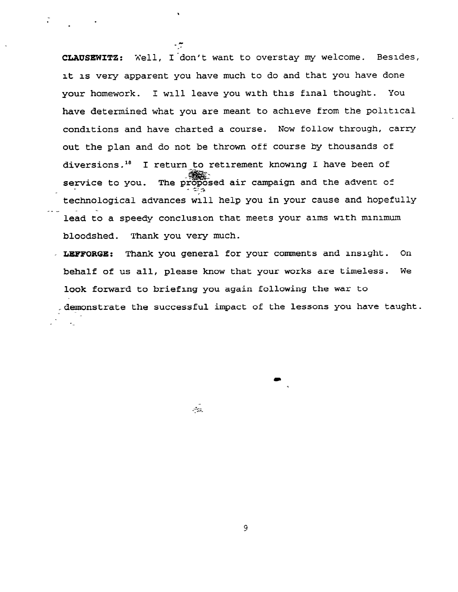CLAUSEWITZ: Well, I don't want to overstay my welcome. Besides, it 1s very apparent you have much to do and that you have done your homework. I will leave you with this final thought. You have determined what you are meant to achieve from the political conditions and have charted a course. Now follow through, carry out the plan and do not be thrown off course by thousands of diversions.<sup>18</sup> I return to retirement knowing I have been of service to you. The proposed air campaign and the advent of technological advances will help you in your cause and hopefully -\_\_ lead to a speedy conclusion that meets your aims with minimum bloodshed. Thank you very much.

1

.

LEFFORGE: Thank you general for your comments and insight. On behalf of us all, please know that your works are timeless. We look forward to briefing you again following the war to -demonstrate the successful impact of the lessons you have taught. --

 $\mathcal{L}_{\mathcal{L}}$